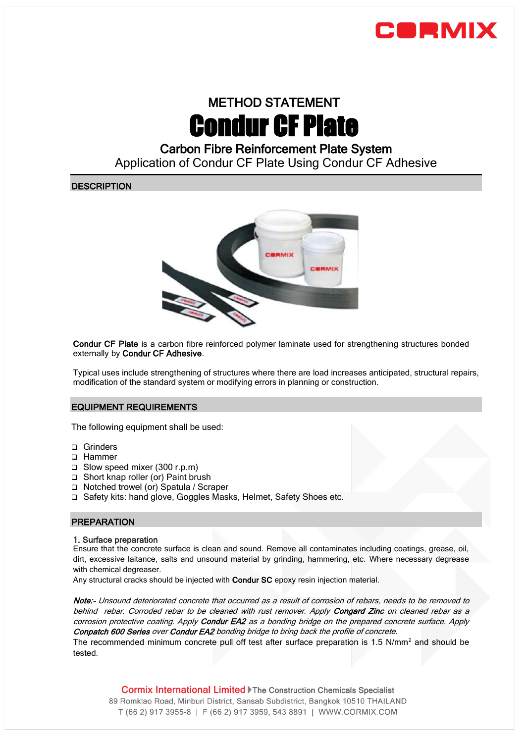

# METHOD STATEMENT Condur CF Plate

# Carbon Fibre Reinforcement Plate System

Application of Condur CF Plate Using Condur CF Adhesive

# **DESCRIPTION**



Condur CF Plate is a carbon fibre reinforced polymer laminate used for strengthening structures bonded externally by Condur CF Adhesive.

Typical uses include strengthening of structures where there are load increases anticipated, structural repairs, modification of the standard system or modifying errors in planning or construction.

# EQUIPMENT REQUIREMENTS

The following equipment shall be used:

- □ Grinders
- □ Hammer
- Slow speed mixer (300 r.p.m)
- □ Short knap roller (or) Paint brush
- □ Notched trowel (or) Spatula / Scraper
- □ Safety kits: hand glove, Goggles Masks, Helmet, Safety Shoes etc.

# **PREPARATION**

#### 1. Surface preparation

Ensure that the concrete surface is clean and sound. Remove all contaminates including coatings, grease, oil, dirt, excessive laitance, salts and unsound material by grinding, hammering, etc. Where necessary degrease with chemical degreaser.

Any structural cracks should be injected with **Condur SC** epoxy resin injection material.

Note:- Unsound deteriorated concrete that occurred as a result of corrosion of rebars, needs to be removed to behind rebar. Corroded rebar to be cleaned with rust remover. Apply Congard Zinc on cleaned rebar as a corrosion protective coating. Apply Condur EA2 as a bonding bridge on the prepared concrete surface. Apply Conpatch 600 Series over Condur EA2 bonding bridge to bring back the profile of concrete.

The recommended minimum concrete pull off test after surface preparation is 1.5  $N/mm^2$  and should be tested.

**Cormix International Limited Fine Construction Chemicals Specialist** 89 Romklao Road, Minburi District, Sansab Subdistrict, Bangkok 10510 THAILAND T (66 2) 917 3955-8 | F (66 2) 917 3959, 543 8891 | WWW.CORMIX.COM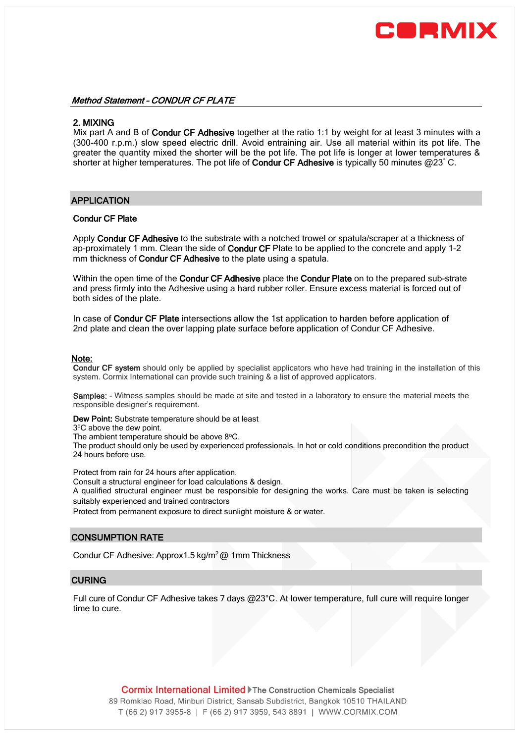

### Method Statement – CONDUR CF PLATE

#### 2. MIXING

Mix part A and B of Condur CF Adhesive together at the ratio 1:1 by weight for at least 3 minutes with a (300-400 r.p.m.) slow speed electric drill. Avoid entraining air. Use all material within its pot life. The greater the quantity mixed the shorter will be the pot life. The pot life is longer at lower temperatures & shorter at higher temperatures. The pot life of Condur CF Adhesive is typically 50 minutes @23° C.

#### APPLICATION

#### Condur CF Plate

Apply Condur CF Adhesive to the substrate with a notched trowel or spatula/scraper at a thickness of ap-proximately 1 mm. Clean the side of Condur CF Plate to be applied to the concrete and apply 1-2 mm thickness of Condur CF Adhesive to the plate using a spatula.

Within the open time of the Condur CF Adhesive place the Condur Plate on to the prepared sub-strate and press firmly into the Adhesive using a hard rubber roller. Ensure excess material is forced out of both sides of the plate.

In case of Condur CF Plate intersections allow the 1st application to harden before application of 2nd plate and clean the over lapping plate surface before application of Condur CF Adhesive.

#### Note:

Condur CF system should only be applied by specialist applicators who have had training in the installation of this system. Cormix International can provide such training & a list of approved applicators.

Samples: - Witness samples should be made at site and tested in a laboratory to ensure the material meets the responsible designer's requirement.

Dew Point: Substrate temperature should be at least

3°C above the dew point.

The ambient temperature should be above 8°C.

The product should only be used by experienced professionals. In hot or cold conditions precondition the product 24 hours before use.

Protect from rain for 24 hours after application.

Consult a structural engineer for load calculations & design.

A qualified structural engineer must be responsible for designing the works. Care must be taken is selecting suitably experienced and trained contractors

Protect from permanent exposure to direct sunlight moisture & or water.

# CONSUMPTION RATE

Condur CF Adhesive: Approx1.5 kg/m<sup>2</sup>@ 1mm Thickness

#### **CURING**

Full cure of Condur CF Adhesive takes 7 days @23°C. At lower temperature, full cure will require longer time to cure.

**Cormix International Limited Fine Construction Chemicals Specialist** 89 Romklao Road, Minburi District, Sansab Subdistrict, Bangkok 10510 THAILAND T (66 2) 917 3955-8 | F (66 2) 917 3959, 543 8891 | WWW.CORMIX.COM